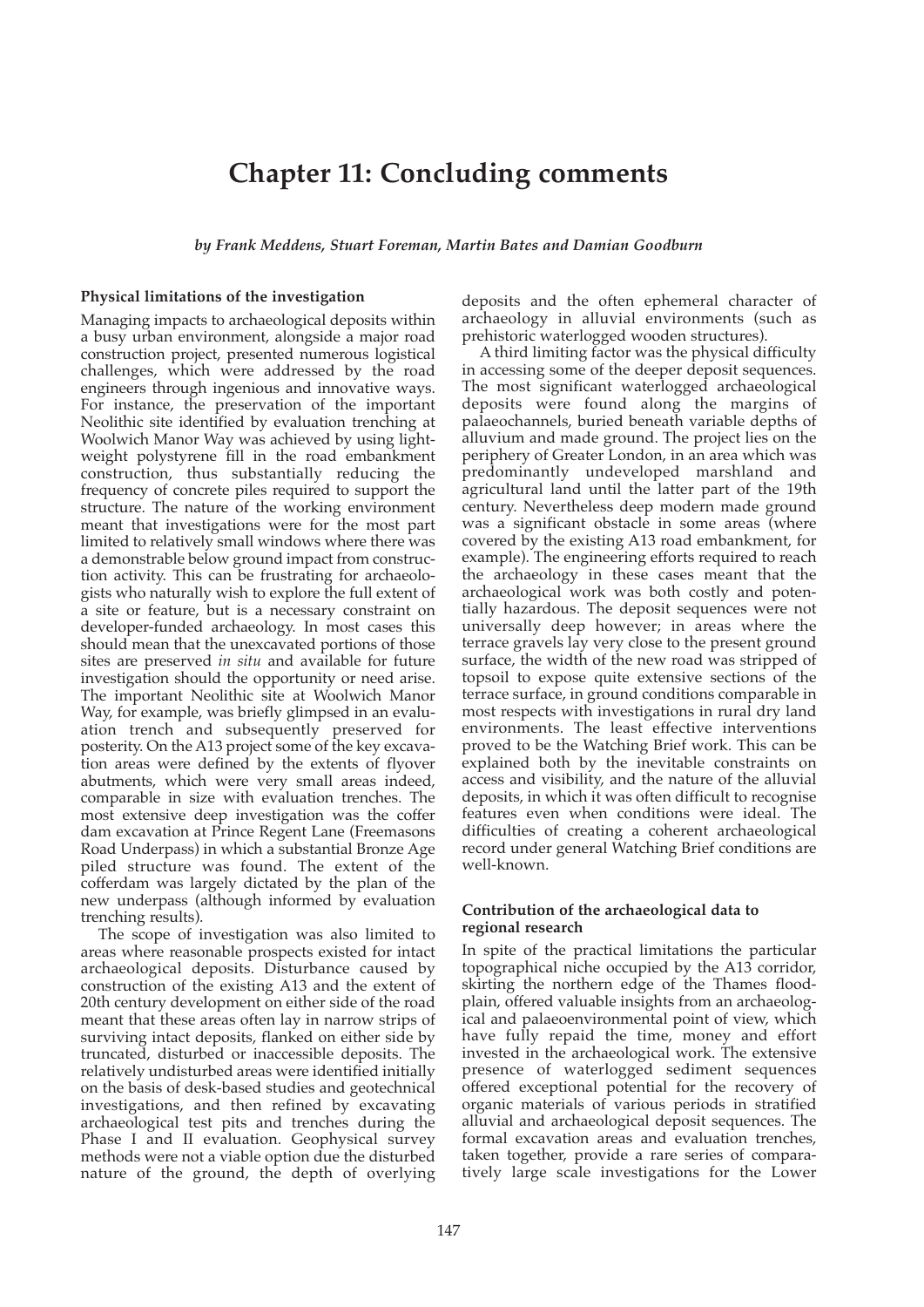# **Chapter 11: Concluding comments**

*by Frank Meddens, Stuart Foreman, Martin Bates and Damian Goodburn*

#### **Physical limitations of the investigation**

Managing impacts to archaeological deposits within a busy urban environment, alongside a major road construction project, presented numerous logistical challenges, which were addressed by the road engineers through ingenious and innovative ways. For instance, the preservation of the important Neolithic site identified by evaluation trenching at Woolwich Manor Way was achieved by using lightweight polystyrene fill in the road embankment construction, thus substantially reducing the frequency of concrete piles required to support the structure. The nature of the working environment meant that investigations were for the most part limited to relatively small windows where there was a demonstrable below ground impact from construction activity. This can be frustrating for archaeologists who naturally wish to explore the full extent of a site or feature, but is a necessary constraint on developer-funded archaeology. In most cases this should mean that the unexcavated portions of those sites are preserved *in situ* and available for future investigation should the opportunity or need arise. The important Neolithic site at Woolwich Manor Way, for example, was briefly glimpsed in an evaluation trench and subsequently preserved for posterity. On the A13 project some of the key excavation areas were defined by the extents of flyover abutments, which were very small areas indeed, comparable in size with evaluation trenches. The most extensive deep investigation was the coffer dam excavation at Prince Regent Lane (Freemasons Road Underpass) in which a substantial Bronze Age piled structure was found. The extent of the cofferdam was largely dictated by the plan of the new underpass (although informed by evaluation trenching results).

The scope of investigation was also limited to areas where reasonable prospects existed for intact archaeological deposits. Disturbance caused by construction of the existing A13 and the extent of 20th century development on either side of the road meant that these areas often lay in narrow strips of surviving intact deposits, flanked on either side by truncated, disturbed or inaccessible deposits. The relatively undisturbed areas were identified initially on the basis of desk-based studies and geotechnical investigations, and then refined by excavating archaeological test pits and trenches during the Phase I and II evaluation. Geophysical survey methods were not a viable option due the disturbed nature of the ground, the depth of overlying deposits and the often ephemeral character of archaeology in alluvial environments (such as prehistoric waterlogged wooden structures).

A third limiting factor was the physical difficulty in accessing some of the deeper deposit sequences. The most significant waterlogged archaeological deposits were found along the margins of palaeochannels, buried beneath variable depths of alluvium and made ground. The project lies on the periphery of Greater London, in an area which was predominantly undeveloped marshland and agricultural land until the latter part of the 19th century. Nevertheless deep modern made ground was a significant obstacle in some areas (where covered by the existing A13 road embankment, for example). The engineering efforts required to reach the archaeology in these cases meant that the archaeological work was both costly and potentially hazardous. The deposit sequences were not universally deep however; in areas where the terrace gravels lay very close to the present ground surface, the width of the new road was stripped of topsoil to expose quite extensive sections of the terrace surface, in ground conditions comparable in most respects with investigations in rural dry land environments. The least effective interventions proved to be the Watching Brief work. This can be explained both by the inevitable constraints on access and visibility, and the nature of the alluvial deposits, in which it was often difficult to recognise features even when conditions were ideal. The difficulties of creating a coherent archaeological record under general Watching Brief conditions are well-known.

#### **Contribution of the archaeological data to regional research**

In spite of the practical limitations the particular topographical niche occupied by the A13 corridor, skirting the northern edge of the Thames floodplain, offered valuable insights from an archaeological and palaeoenvironmental point of view, which have fully repaid the time, money and effort invested in the archaeological work. The extensive presence of waterlogged sediment sequences offered exceptional potential for the recovery of organic materials of various periods in stratified alluvial and archaeological deposit sequences. The formal excavation areas and evaluation trenches, taken together, provide a rare series of comparatively large scale investigations for the Lower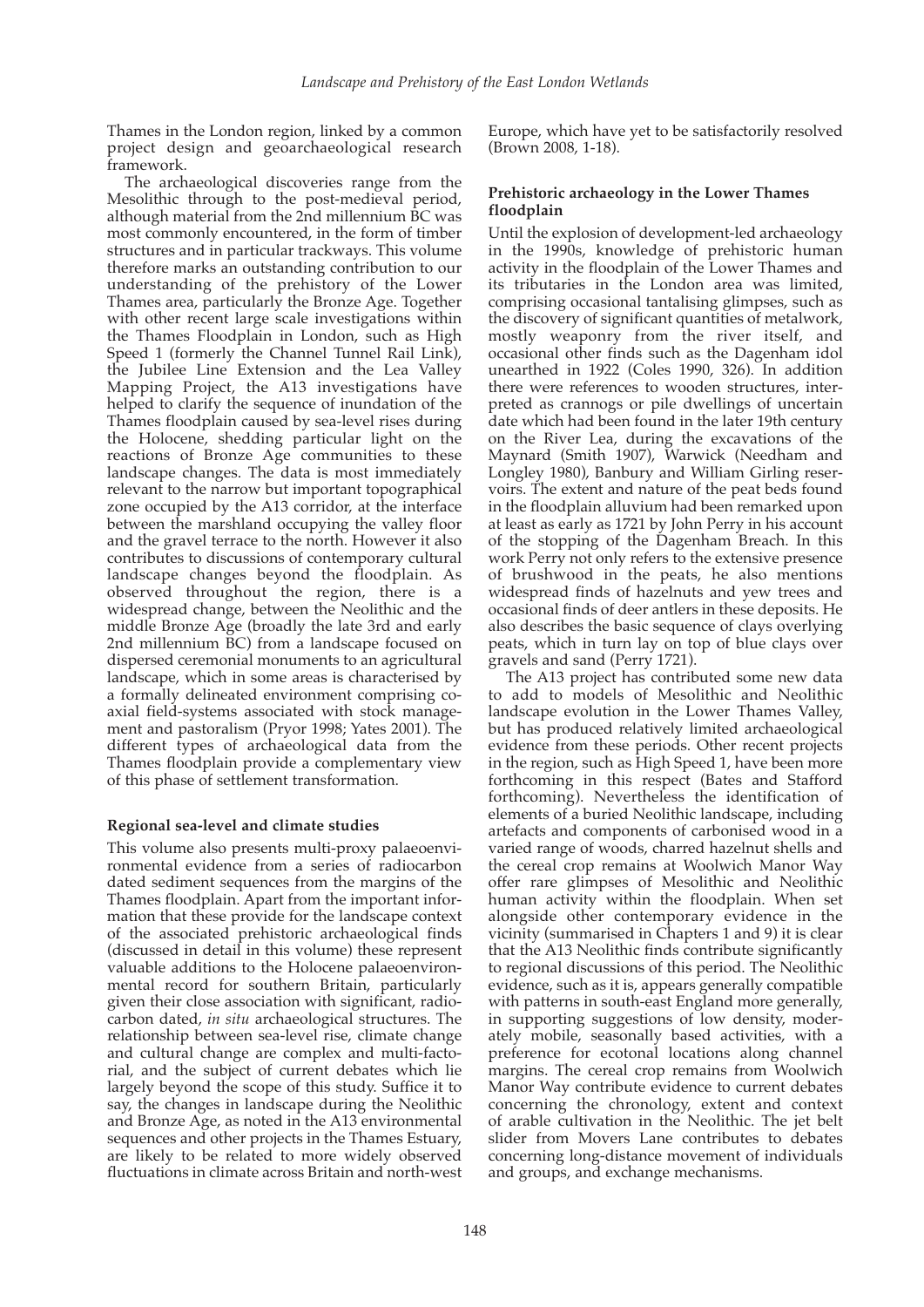Thames in the London region, linked by a common project design and geoarchaeological research framework.

The archaeological discoveries range from the Mesolithic through to the post-medieval period, although material from the 2nd millennium BC was most commonly encountered, in the form of timber structures and in particular trackways. This volume therefore marks an outstanding contribution to our understanding of the prehistory of the Lower Thames area, particularly the Bronze Age. Together with other recent large scale investigations within the Thames Floodplain in London, such as High Speed 1 (formerly the Channel Tunnel Rail Link), the Jubilee Line Extension and the Lea Valley Mapping Project, the A13 investigations have helped to clarify the sequence of inundation of the Thames floodplain caused by sea-level rises during the Holocene, shedding particular light on the reactions of Bronze Age communities to these landscape changes. The data is most immediately relevant to the narrow but important topographical zone occupied by the A13 corridor, at the interface between the marshland occupying the valley floor and the gravel terrace to the north. However it also contributes to discussions of contemporary cultural landscape changes beyond the floodplain. As observed throughout the region, there is a widespread change, between the Neolithic and the middle Bronze Age (broadly the late 3rd and early 2nd millennium BC) from a landscape focused on dispersed ceremonial monuments to an agricultural landscape, which in some areas is characterised by a formally delineated environment comprising coaxial field-systems associated with stock management and pastoralism (Pryor 1998; Yates 2001). The different types of archaeological data from the Thames floodplain provide a complementary view of this phase of settlement transformation.

## **Regional sea-level and climate studies**

This volume also presents multi-proxy palaeoenvironmental evidence from a series of radiocarbon dated sediment sequences from the margins of the Thames floodplain. Apart from the important information that these provide for the landscape context of the associated prehistoric archaeological finds (discussed in detail in this volume) these represent valuable additions to the Holocene palaeoenvironmental record for southern Britain, particularly given their close association with significant, radiocarbon dated, *in situ* archaeological structures. The relationship between sea-level rise, climate change and cultural change are complex and multi-factorial, and the subject of current debates which lie largely beyond the scope of this study. Suffice it to say, the changes in landscape during the Neolithic and Bronze Age, as noted in the A13 environmental sequences and other projects in the Thames Estuary, are likely to be related to more widely observed fluctuations in climate across Britain and north-west

Europe, which have yet to be satisfactorily resolved (Brown 2008, 1-18).

## **Prehistoric archaeology in the Lower Thames floodplain**

Until the explosion of development-led archaeology in the 1990s, knowledge of prehistoric human activity in the floodplain of the Lower Thames and its tributaries in the London area was limited, comprising occasional tantalising glimpses, such as the discovery of significant quantities of metalwork, mostly weaponry from the river itself, and occasional other finds such as the Dagenham idol unearthed in 1922 (Coles 1990, 326). In addition there were references to wooden structures, interpreted as crannogs or pile dwellings of uncertain date which had been found in the later 19th century on the River Lea, during the excavations of the Maynard (Smith 1907), Warwick (Needham and Longley 1980), Banbury and William Girling reservoirs. The extent and nature of the peat beds found in the floodplain alluvium had been remarked upon at least as early as 1721 by John Perry in his account of the stopping of the Dagenham Breach. In this work Perry not only refers to the extensive presence of brushwood in the peats, he also mentions widespread finds of hazelnuts and yew trees and occasional finds of deer antlers in these deposits. He also describes the basic sequence of clays overlying peats, which in turn lay on top of blue clays over gravels and sand (Perry 1721).

The A13 project has contributed some new data to add to models of Mesolithic and Neolithic landscape evolution in the Lower Thames Valley, but has produced relatively limited archaeological evidence from these periods. Other recent projects in the region, such as High Speed 1, have been more forthcoming in this respect (Bates and Stafford forthcoming). Nevertheless the identification of elements of a buried Neolithic landscape, including artefacts and components of carbonised wood in a varied range of woods, charred hazelnut shells and the cereal crop remains at Woolwich Manor Way offer rare glimpses of Mesolithic and Neolithic human activity within the floodplain. When set alongside other contemporary evidence in the vicinity (summarised in Chapters 1 and 9) it is clear that the A13 Neolithic finds contribute significantly to regional discussions of this period. The Neolithic evidence, such as it is, appears generally compatible with patterns in south-east England more generally, in supporting suggestions of low density, moderately mobile, seasonally based activities, with a preference for ecotonal locations along channel margins. The cereal crop remains from Woolwich Manor Way contribute evidence to current debates concerning the chronology, extent and context of arable cultivation in the Neolithic. The jet belt slider from Movers Lane contributes to debates concerning long-distance movement of individuals and groups, and exchange mechanisms.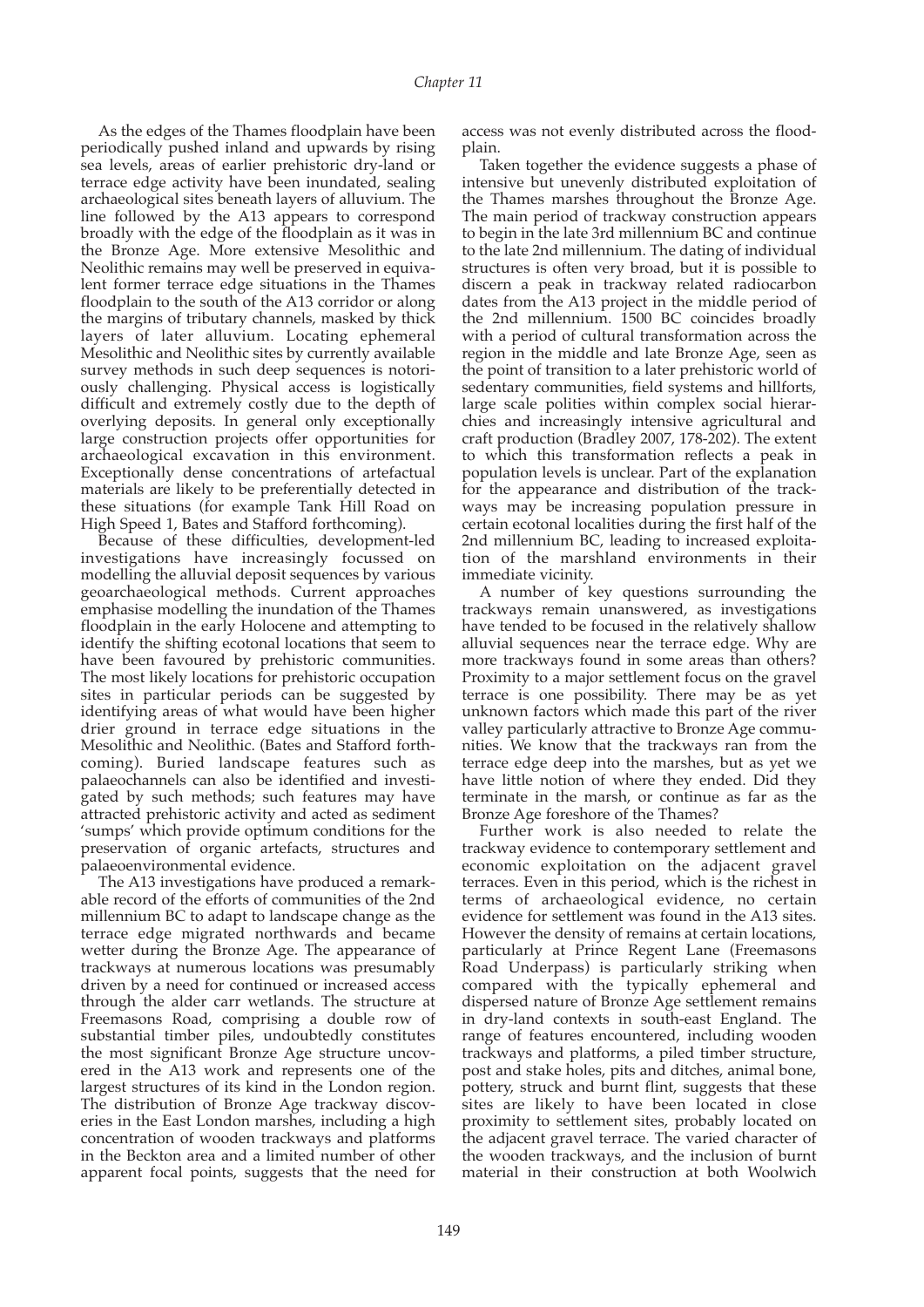As the edges of the Thames floodplain have been periodically pushed inland and upwards by rising sea levels, areas of earlier prehistoric dry-land or terrace edge activity have been inundated, sealing archaeological sites beneath layers of alluvium. The line followed by the A13 appears to correspond broadly with the edge of the floodplain as it was in the Bronze Age. More extensive Mesolithic and Neolithic remains may well be preserved in equivalent former terrace edge situations in the Thames floodplain to the south of the A13 corridor or along the margins of tributary channels, masked by thick layers of later alluvium. Locating ephemeral Mesolithic and Neolithic sites by currently available survey methods in such deep sequences is notoriously challenging. Physical access is logistically difficult and extremely costly due to the depth of overlying deposits. In general only exceptionally large construction projects offer opportunities for archaeological excavation in this environment. Exceptionally dense concentrations of artefactual materials are likely to be preferentially detected in these situations (for example Tank Hill Road on High Speed 1, Bates and Stafford forthcoming).

Because of these difficulties, development-led investigations have increasingly focussed on modelling the alluvial deposit sequences by various geoarchaeological methods. Current approaches emphasise modelling the inundation of the Thames floodplain in the early Holocene and attempting to identify the shifting ecotonal locations that seem to have been favoured by prehistoric communities. The most likely locations for prehistoric occupation sites in particular periods can be suggested by identifying areas of what would have been higher drier ground in terrace edge situations in the Mesolithic and Neolithic. (Bates and Stafford forthcoming). Buried landscape features such as palaeochannels can also be identified and investigated by such methods; such features may have attracted prehistoric activity and acted as sediment 'sumps' which provide optimum conditions for the preservation of organic artefacts, structures and palaeoenvironmental evidence.

The A13 investigations have produced a remarkable record of the efforts of communities of the 2nd millennium BC to adapt to landscape change as the terrace edge migrated northwards and became wetter during the Bronze Age. The appearance of trackways at numerous locations was presumably driven by a need for continued or increased access through the alder carr wetlands. The structure at Freemasons Road, comprising a double row of substantial timber piles, undoubtedly constitutes the most significant Bronze Age structure uncovered in the A13 work and represents one of the largest structures of its kind in the London region. The distribution of Bronze Age trackway discoveries in the East London marshes, including a high concentration of wooden trackways and platforms in the Beckton area and a limited number of other apparent focal points, suggests that the need for

access was not evenly distributed across the floodplain.

Taken together the evidence suggests a phase of intensive but unevenly distributed exploitation of the Thames marshes throughout the Bronze Age. The main period of trackway construction appears to begin in the late 3rd millennium BC and continue to the late 2nd millennium. The dating of individual structures is often very broad, but it is possible to discern a peak in trackway related radiocarbon dates from the A13 project in the middle period of the 2nd millennium. 1500 BC coincides broadly with a period of cultural transformation across the region in the middle and late Bronze Age, seen as the point of transition to a later prehistoric world of sedentary communities, field systems and hillforts, large scale polities within complex social hierarchies and increasingly intensive agricultural and craft production (Bradley 2007, 178-202). The extent to which this transformation reflects a peak in population levels is unclear. Part of the explanation for the appearance and distribution of the trackways may be increasing population pressure in certain ecotonal localities during the first half of the 2nd millennium BC, leading to increased exploitation of the marshland environments in their immediate vicinity.

A number of key questions surrounding the trackways remain unanswered, as investigations have tended to be focused in the relatively shallow alluvial sequences near the terrace edge. Why are more trackways found in some areas than others? Proximity to a major settlement focus on the gravel terrace is one possibility. There may be as yet unknown factors which made this part of the river valley particularly attractive to Bronze Age communities. We know that the trackways ran from the terrace edge deep into the marshes, but as yet we have little notion of where they ended. Did they terminate in the marsh, or continue as far as the Bronze Age foreshore of the Thames?

Further work is also needed to relate the trackway evidence to contemporary settlement and economic exploitation on the adjacent gravel terraces. Even in this period, which is the richest in terms of archaeological evidence, no certain evidence for settlement was found in the A13 sites. However the density of remains at certain locations, particularly at Prince Regent Lane (Freemasons Road Underpass) is particularly striking when compared with the typically ephemeral and dispersed nature of Bronze Age settlement remains in dry-land contexts in south-east England. The range of features encountered, including wooden trackways and platforms, a piled timber structure, post and stake holes, pits and ditches, animal bone, pottery, struck and burnt flint, suggests that these sites are likely to have been located in close proximity to settlement sites, probably located on the adjacent gravel terrace. The varied character of the wooden trackways, and the inclusion of burnt material in their construction at both Woolwich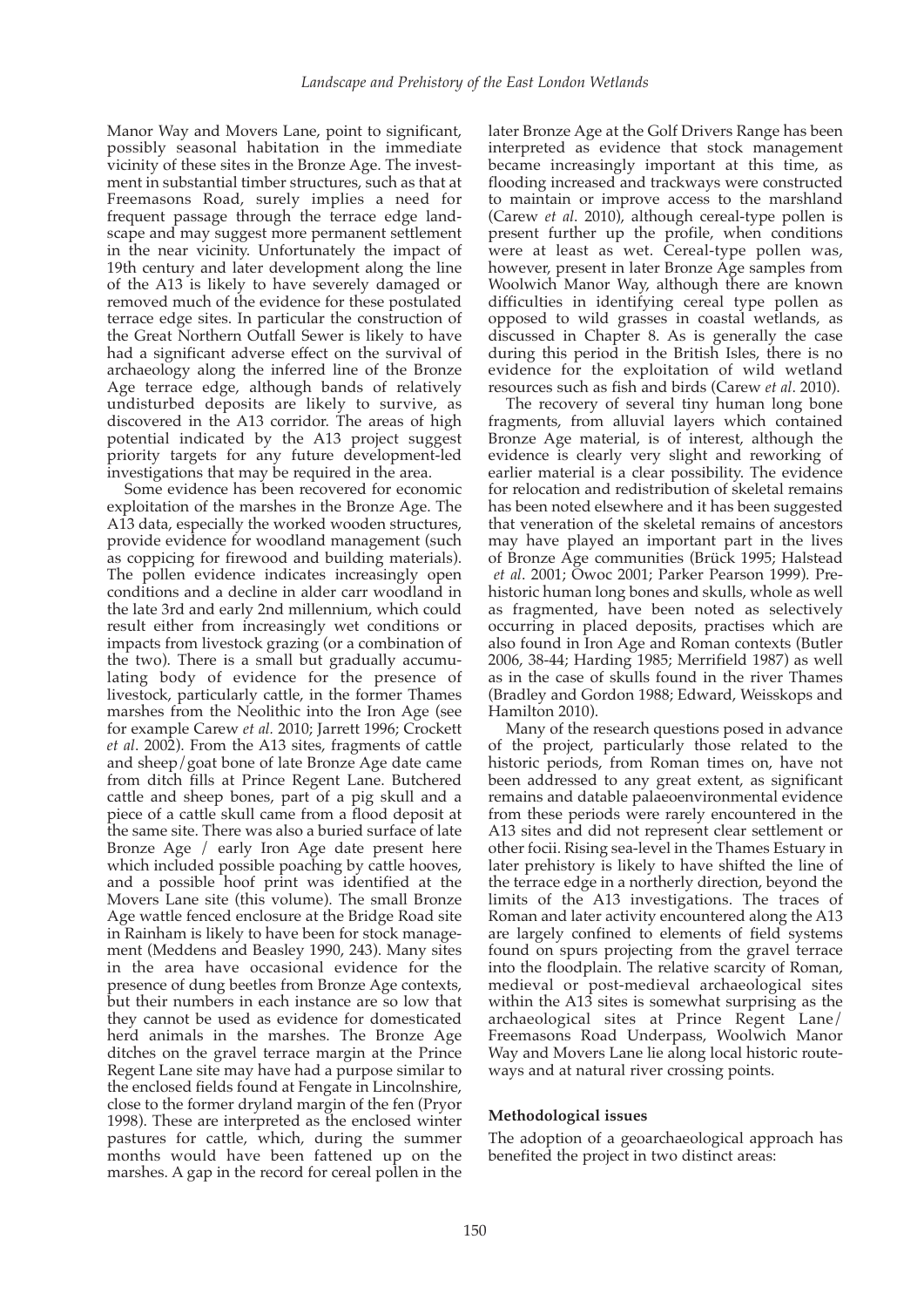Manor Way and Movers Lane, point to significant, possibly seasonal habitation in the immediate vicinity of these sites in the Bronze Age. The investment in substantial timber structures, such as that at Freemasons Road, surely implies a need for frequent passage through the terrace edge landscape and may suggest more permanent settlement in the near vicinity. Unfortunately the impact of 19th century and later development along the line of the A13 is likely to have severely damaged or removed much of the evidence for these postulated terrace edge sites. In particular the construction of the Great Northern Outfall Sewer is likely to have had a significant adverse effect on the survival of archaeology along the inferred line of the Bronze Age terrace edge, although bands of relatively undisturbed deposits are likely to survive, as discovered in the A13 corridor. The areas of high potential indicated by the A13 project suggest priority targets for any future development-led investigations that may be required in the area.

Some evidence has been recovered for economic exploitation of the marshes in the Bronze Age. The A13 data, especially the worked wooden structures, provide evidence for woodland management (such as coppicing for firewood and building materials). The pollen evidence indicates increasingly open conditions and a decline in alder carr woodland in the late 3rd and early 2nd millennium, which could result either from increasingly wet conditions or impacts from livestock grazing (or a combination of the two). There is a small but gradually accumulating body of evidence for the presence of livestock, particularly cattle, in the former Thames marshes from the Neolithic into the Iron Age (see for example Carew *et al.* 2010; Jarrett 1996; Crockett *et al*. 2002). From the A13 sites, fragments of cattle and sheep/goat bone of late Bronze Age date came from ditch fills at Prince Regent Lane. Butchered cattle and sheep bones, part of a pig skull and a piece of a cattle skull came from a flood deposit at the same site. There was also a buried surface of late Bronze Age / early Iron Age date present here which included possible poaching by cattle hooves, and a possible hoof print was identified at the Movers Lane site (this volume). The small Bronze Age wattle fenced enclosure at the Bridge Road site in Rainham is likely to have been for stock management (Meddens and Beasley 1990, 243). Many sites in the area have occasional evidence for the presence of dung beetles from Bronze Age contexts, but their numbers in each instance are so low that they cannot be used as evidence for domesticated herd animals in the marshes. The Bronze Age ditches on the gravel terrace margin at the Prince Regent Lane site may have had a purpose similar to the enclosed fields found at Fengate in Lincolnshire, close to the former dryland margin of the fen (Pryor 1998). These are interpreted as the enclosed winter pastures for cattle, which, during the summer months would have been fattened up on the marshes. A gap in the record for cereal pollen in the

later Bronze Age at the Golf Drivers Range has been interpreted as evidence that stock management became increasingly important at this time, as flooding increased and trackways were constructed to maintain or improve access to the marshland (Carew *et al*. 2010), although cereal-type pollen is present further up the profile, when conditions were at least as wet. Cereal-type pollen was, however, present in later Bronze Age samples from Woolwich Manor Way, although there are known difficulties in identifying cereal type pollen as opposed to wild grasses in coastal wetlands, as discussed in Chapter 8. As is generally the case during this period in the British Isles, there is no evidence for the exploitation of wild wetland resources such as fish and birds (Carew *et al*. 2010).

The recovery of several tiny human long bone fragments, from alluvial layers which contained Bronze Age material, is of interest, although the evidence is clearly very slight and reworking of earlier material is a clear possibility. The evidence for relocation and redistribution of skeletal remains has been noted elsewhere and it has been suggested that veneration of the skeletal remains of ancestors may have played an important part in the lives of Bronze Age communities (Brück 1995; Halstead *et al*. 2001; Owoc 2001; Parker Pearson 1999). Prehistoric human long bones and skulls, whole as well as fragmented, have been noted as selectively occurring in placed deposits, practises which are also found in Iron Age and Roman contexts (Butler 2006, 38-44; Harding 1985; Merrifield 1987) as well as in the case of skulls found in the river Thames (Bradley and Gordon 1988; Edward, Weisskops and Hamilton 2010).

Many of the research questions posed in advance of the project, particularly those related to the historic periods, from Roman times on, have not been addressed to any great extent, as significant remains and datable palaeoenvironmental evidence from these periods were rarely encountered in the A13 sites and did not represent clear settlement or other focii. Rising sea-level in the Thames Estuary in later prehistory is likely to have shifted the line of the terrace edge in a northerly direction, beyond the limits of the A13 investigations. The traces of Roman and later activity encountered along the A13 are largely confined to elements of field systems found on spurs projecting from the gravel terrace into the floodplain. The relative scarcity of Roman, medieval or post-medieval archaeological sites within the A13 sites is somewhat surprising as the archaeological sites at Prince Regent Lane/ Freemasons Road Underpass, Woolwich Manor Way and Movers Lane lie along local historic routeways and at natural river crossing points.

## **Methodological issues**

The adoption of a geoarchaeological approach has benefited the project in two distinct areas: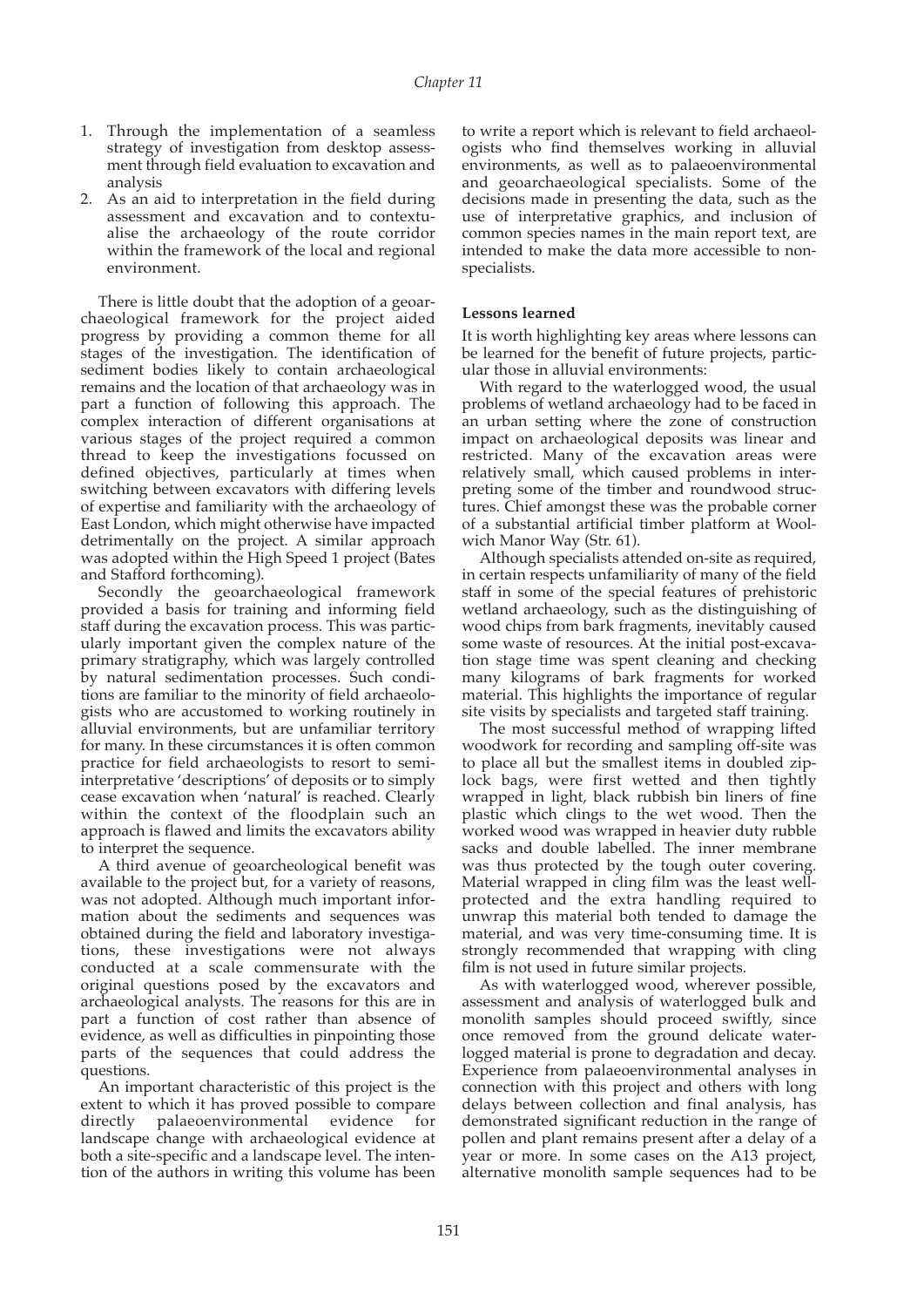- 1. Through the implementation of a seamless strategy of investigation from desktop assessment through field evaluation to excavation and analysis
- As an aid to interpretation in the field during assessment and excavation and to contextualise the archaeology of the route corridor within the framework of the local and regional environment.

There is little doubt that the adoption of a geoarchaeological framework for the project aided progress by providing a common theme for all stages of the investigation. The identification of sediment bodies likely to contain archaeological remains and the location of that archaeology was in part a function of following this approach. The complex interaction of different organisations at various stages of the project required a common thread to keep the investigations focussed on defined objectives, particularly at times when switching between excavators with differing levels of expertise and familiarity with the archaeology of East London, which might otherwise have impacted detrimentally on the project. A similar approach was adopted within the High Speed 1 project (Bates and Stafford forthcoming).

Secondly the geoarchaeological framework provided a basis for training and informing field staff during the excavation process. This was particularly important given the complex nature of the primary stratigraphy, which was largely controlled by natural sedimentation processes. Such conditions are familiar to the minority of field archaeologists who are accustomed to working routinely in alluvial environments, but are unfamiliar territory for many. In these circumstances it is often common practice for field archaeologists to resort to semiinterpretative 'descriptions' of deposits or to simply cease excavation when 'natural' is reached. Clearly within the context of the floodplain such an approach is flawed and limits the excavators ability to interpret the sequence.

A third avenue of geoarcheological benefit was available to the project but, for a variety of reasons, was not adopted. Although much important information about the sediments and sequences was obtained during the field and laboratory investigations, these investigations were not always conducted at a scale commensurate with the original questions posed by the excavators and archaeological analysts. The reasons for this are in part a function of cost rather than absence of evidence, as well as difficulties in pinpointing those parts of the sequences that could address the questions.

An important characteristic of this project is the extent to which it has proved possible to compare directly palaeoenvironmental evidence for landscape change with archaeological evidence at both a site-specific and a landscape level. The intention of the authors in writing this volume has been

to write a report which is relevant to field archaeologists who find themselves working in alluvial environments, as well as to palaeoenvironmental and geoarchaeological specialists. Some of the decisions made in presenting the data, such as the use of interpretative graphics, and inclusion of common species names in the main report text, are intended to make the data more accessible to nonspecialists.

#### **Lessons learned**

It is worth highlighting key areas where lessons can be learned for the benefit of future projects, particular those in alluvial environments:

With regard to the waterlogged wood, the usual problems of wetland archaeology had to be faced in an urban setting where the zone of construction impact on archaeological deposits was linear and restricted. Many of the excavation areas were relatively small, which caused problems in interpreting some of the timber and roundwood structures. Chief amongst these was the probable corner of a substantial artificial timber platform at Woolwich Manor Way (Str. 61).

Although specialists attended on-site as required, in certain respects unfamiliarity of many of the field staff in some of the special features of prehistoric wetland archaeology, such as the distinguishing of wood chips from bark fragments, inevitably caused some waste of resources. At the initial post-excavation stage time was spent cleaning and checking many kilograms of bark fragments for worked material. This highlights the importance of regular site visits by specialists and targeted staff training.

The most successful method of wrapping lifted woodwork for recording and sampling off-site was to place all but the smallest items in doubled ziplock bags, were first wetted and then tightly wrapped in light, black rubbish bin liners of fine plastic which clings to the wet wood. Then the worked wood was wrapped in heavier duty rubble sacks and double labelled. The inner membrane was thus protected by the tough outer covering. Material wrapped in cling film was the least wellprotected and the extra handling required to unwrap this material both tended to damage the material, and was very time-consuming time. It is strongly recommended that wrapping with cling film is not used in future similar projects.

As with waterlogged wood, wherever possible, assessment and analysis of waterlogged bulk and monolith samples should proceed swiftly, since once removed from the ground delicate waterlogged material is prone to degradation and decay. Experience from palaeoenvironmental analyses in connection with this project and others with long delays between collection and final analysis, has demonstrated significant reduction in the range of pollen and plant remains present after a delay of a year or more. In some cases on the A13 project, alternative monolith sample sequences had to be